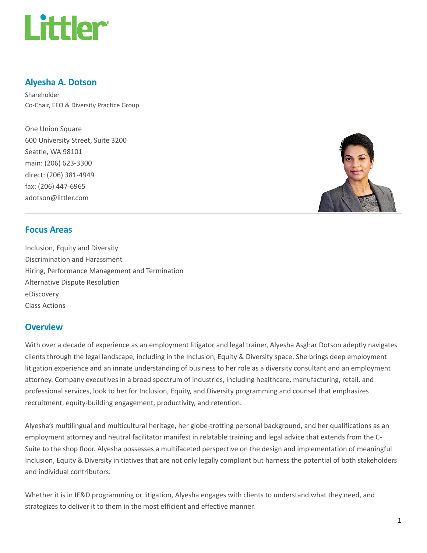

## Alyesha A. Dotson

Shareholder Co-Chair, EEO & Diversity Practice Group

One Union Square 600 University Street, Suite 3200 Seattle, WA 98101 main: (206) 623-3300 direct: (206) 381-4949 fax: (206) 447-6965 adotson@littler.com



#### Focus Areas

Inclusion, Equity and Diversity Discrimination and Harassment Hiring, Performance Management and Termination Alternative Dispute Resolution eDiscovery Class Actions

#### **Overview**

With over a decade of experience as an employment litigator and legal trainer, Alyesha Asghar Dotson adeptly navigates clients through the legal landscape, including in the Inclusion, Equity & Diversity space. She brings deep employment litigation experience and an innate understanding of business to her role as a diversity consultant and an employment attorney. Company executives in a broad spectrum of industries, including healthcare, manufacturing, retail, and professional services, look to her for Inclusion, Equity, and Diversity programming and counsel that emphasizes recruitment, equity-building engagement, productivity, and retention.

Alyesha's multilingual and multicultural heritage, her globe-trotting personal background, and her qualifications as an employment attorney and neutral facilitator manifest in relatable training and legal advice that extends from the C-Suite to the shop floor. Alyesha possesses a multifaceted perspective on the design and implementation of meaningful Inclusion, Equity & Diversity initiatives that are not only legally compliant but harness the potential of both stakeholders and individual contributors.

Whether it is in IE&D programming or litigation, Alyesha engages with clients to understand what they need, and strategizes to deliver it to them in the most efficient and effective manner.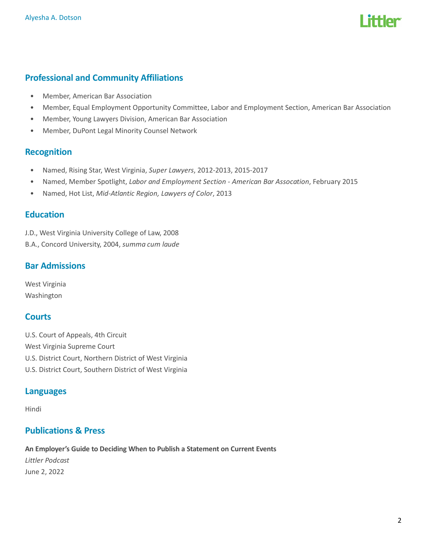

## Professional and Community Affiliations

- Member, American Bar Association
- Member, Equal Employment Opportunity Committee, Labor and Employment Section, American Bar Association
- Member, Young Lawyers Division, American Bar Association
- Member, DuPont Legal Minority Counsel Network

#### Recognition

- Named, Rising Star, West Virginia, Super Lawyers, 2012-2013, 2015-2017
- Named, Member Spotlight, Labor and Employment Section American Bar Assocation, February 2015
- Named, Hot List, Mid-Atlantic Region, Lawyers of Color, 2013

#### **Education**

J.D., West Virginia University College of Law, 2008

B.A., Concord University, 2004, summa cum laude

## Bar Admissions

West Virginia Washington

## **Courts**

U.S. Court of Appeals, 4th Circuit West Virginia Supreme Court U.S. District Court, Northern District of West Virginia U.S. District Court, Southern District of West Virginia

#### Languages

Hindi

#### Publications & Press

An Employer's Guide to Deciding When to Publish a Statement on Current Events Littler Podcast June 2, 2022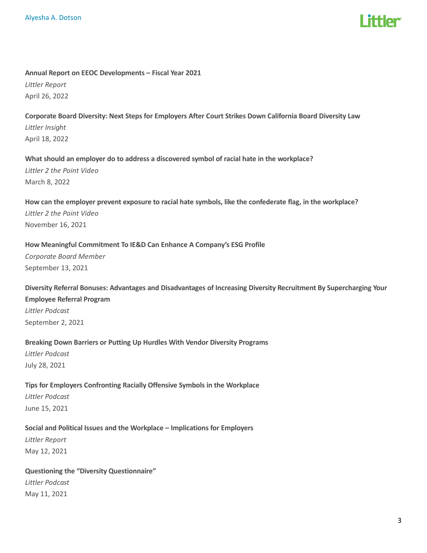#### Annual Report on EEOC Developments – Fiscal Year 2021

Littler Report April 26, 2022

## Corporate Board Diversity: Next Steps for Employers After Court Strikes Down California Board Diversity Law Littler Insight April 18, 2022

#### What should an employer do to address a discovered symbol of racial hate in the workplace?

Littler 2 the Point Video March 8, 2022

## How can the employer prevent exposure to racial hate symbols, like the confederate flag, in the workplace? Littler 2 the Point Video November 16, 2021

#### How Meaningful Commitment To IE&D Can Enhance A Company's ESG Profile

Corporate Board Member September 13, 2021

# Diversity Referral Bonuses: Advantages and Disadvantages of Increasing Diversity Recruitment By Supercharging Your Employee Referral Program Littler Podcast

September 2, 2021

## Breaking Down Barriers or Putting Up Hurdles With Vendor Diversity Programs

Littler Podcast July 28, 2021

## Tips for Employers Confronting Racially Offensive Symbols in the Workplace Littler Podcast June 15, 2021

## Social and Political Issues and the Workplace – Implications for Employers

Littler Report May 12, 2021

## Questioning the "Diversity Questionnaire" Littler Podcast May 11, 2021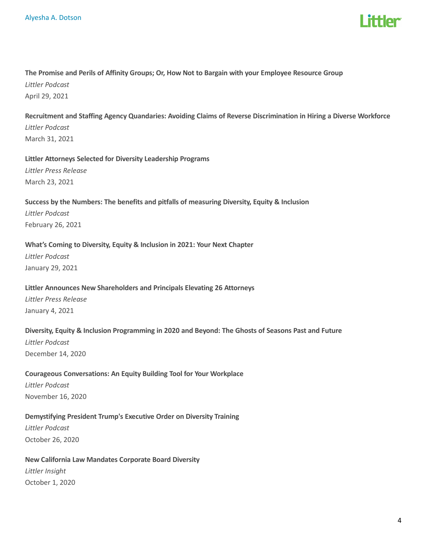

## The Promise and Perils of Affinity Groups; Or, How Not to Bargain with your Employee Resource Group

Littler Podcast April 29, 2021

Recruitment and Staffing Agency Quandaries: Avoiding Claims of Reverse Discrimination in Hiring a Diverse Workforce Littler Podcast March 31, 2021

#### Littler Attorneys Selected for Diversity Leadership Programs Littler Press Release

March 23, 2021

## Success by the Numbers: The benefits and pitfalls of measuring Diversity, Equity & Inclusion Littler Podcast February 26, 2021

#### What's Coming to Diversity, Equity & Inclusion in 2021: Your Next Chapter

Littler Podcast January 29, 2021

#### Littler Announces New Shareholders and Principals Elevating 26 Attorneys

Littler Press Release January 4, 2021

#### Diversity, Equity & Inclusion Programming in 2020 and Beyond: The Ghosts of Seasons Past and Future

Littler Podcast December 14, 2020

#### Courageous Conversations: An Equity Building Tool for Your Workplace

Littler Podcast November 16, 2020

#### Demystifying President Trump's Executive Order on Diversity Training

Littler Podcast October 26, 2020

#### New California Law Mandates Corporate Board Diversity

Littler Insight October 1, 2020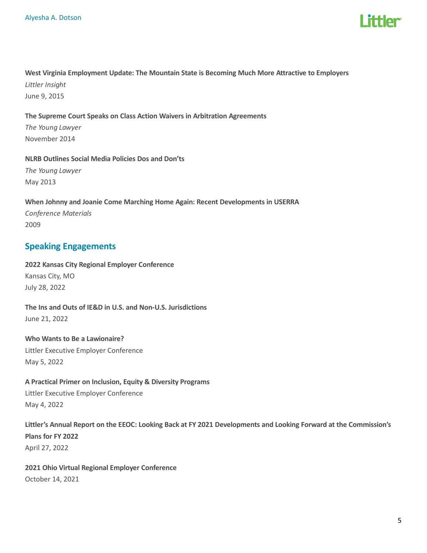

## West Virginia Employment Update: The Mountain State is Becoming Much More Attractive to Employers Littler Insight June 9, 2015

#### The Supreme Court Speaks on Class Action Waivers in Arbitration Agreements

The Young Lawyer November 2014

NLRB Outlines Social Media Policies Dos and Don'ts The Young Lawyer May 2013

When Johnny and Joanie Come Marching Home Again: Recent Developments in USERRA Conference Materials 2009

#### Speaking Engagements

2022 Kansas City Regional Employer Conference Kansas City, MO July 28, 2022

The Ins and Outs of IE&D in U.S. and Non-U.S. Jurisdictions June 21, 2022

Who Wants to Be a Lawionaire? Littler Executive Employer Conference May 5, 2022

A Practical Primer on Inclusion, Equity & Diversity Programs Littler Executive Employer Conference May 4, 2022

Littler's Annual Report on the EEOC: Looking Back at FY 2021 Developments and Looking Forward at the Commission's Plans for FY 2022 April 27, 2022

2021 Ohio Virtual Regional Employer Conference October 14, 2021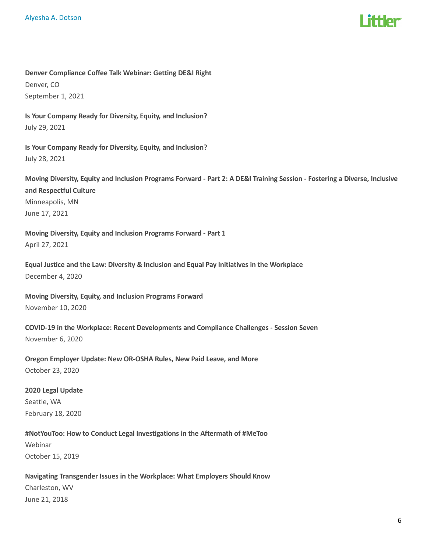

Denver Compliance Coffee Talk Webinar: Getting DE&I Right Denver, CO September 1, 2021

Is Your Company Ready for Diversity, Equity, and Inclusion? July 29, 2021

Is Your Company Ready for Diversity, Equity, and Inclusion? July 28, 2021

Moving Diversity, Equity and Inclusion Programs Forward - Part 2: A DE&I Training Session - Fostering a Diverse, Inclusive and Respectful Culture Minneapolis, MN June 17, 2021

Moving Diversity, Equity and Inclusion Programs Forward - Part 1 April 27, 2021

Equal Justice and the Law: Diversity & Inclusion and Equal Pay Initiatives in the Workplace December 4, 2020

Moving Diversity, Equity, and Inclusion Programs Forward November 10, 2020

COVID-19 in the Workplace: Recent Developments and Compliance Challenges - Session Seven November 6, 2020

Oregon Employer Update: New OR-OSHA Rules, New Paid Leave, and More October 23, 2020

2020 Legal Update Seattle, WA February 18, 2020

#NotYouToo: How to Conduct Legal Investigations in the Aftermath of #MeToo Webinar October 15, 2019

Navigating Transgender Issues in the Workplace: What Employers Should Know Charleston, WV June 21, 2018